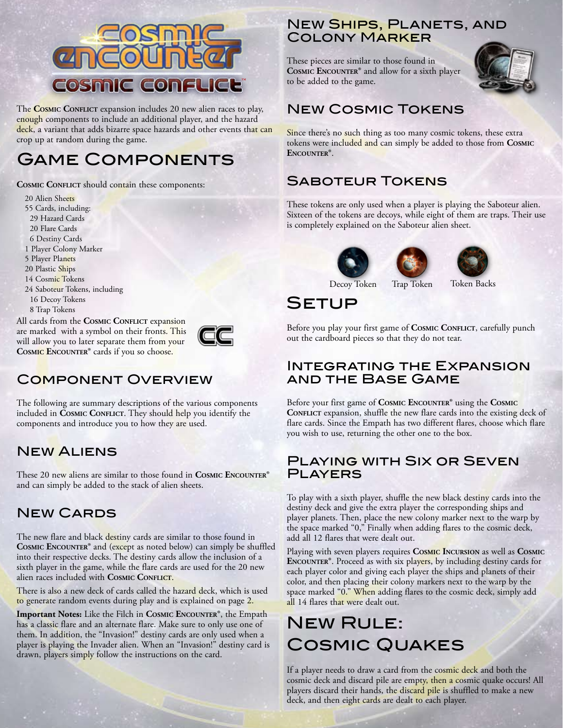

The **COSMIC CONFLICT** expansion includes 20 new alien races to play, enough components to include an additional player, and the hazard deck, a variant that adds bizarre space hazards and other events that can crop up at random during the game.

# Game Components

**COSMIC CONFLICT** should contain these components:

20 Alien Sheets 55 Cards, including: 29 Hazard Cards 20 Flare Cards 6 Destiny Cards 1 Player Colony Marker 5 Player Planets 20 Plastic Ships 14 Cosmic Tokens 24 Saboteur Tokens, including 16 Decoy Tokens 8 Trap Tokens

All cards from the **COSMIC CONFLICT** expansion are marked with a symbol on their fronts. This will allow you to later separate them from your **Cosmic Encounter®** cards if you so choose.



### Component Overview

The following are summary descriptions of the various components included in **Cosmic Conflict**. They should help you identify the components and introduce you to how they are used.

### New Aliens

These 20 new aliens are similar to those found in **Cosmic Encounter®**  and can simply be added to the stack of alien sheets.

### New Cards

The new flare and black destiny cards are similar to those found in **Cosmic Encounter®** and (except as noted below) can simply be shuffled into their respective decks. The destiny cards allow the inclusion of a sixth player in the game, while the flare cards are used for the 20 new alien races included with **Cosmic Conflict**.

There is also a new deck of cards called the hazard deck, which is used to generate random events during play and is explained on page 2.

**Important Notes:** Like the Filch in **Cosmic Encounter®**, the Empath has a classic flare and an alternate flare. Make sure to only use one of them. In addition, the "Invasion!" destiny cards are only used when a player is playing the Invader alien. When an "Invasion!" destiny card is drawn, players simply follow the instructions on the card.

### **NEW SHIPS, PLANETS, AND** Colony Marker

These pieces are similar to those found in **Cosmic Encounter®** and allow for a sixth player to be added to the game.



### New Cosmic Tokens

Since there's no such thing as too many cosmic tokens, these extra tokens were included and can simply be added to those from **Cosmic Encounter®**.

### Saboteur Tokens

These tokens are only used when a player is playing the Saboteur alien. Sixteen of the tokens are decoys, while eight of them are traps. Their use is completely explained on the Saboteur alien sheet.







Decoy Token Trap Token Token Backs

Setup

Before you play your first game of **Cosmic Conflict**, carefully punch out the cardboard pieces so that they do not tear.

#### Integrating the Expansion and the Base Game

Before your first game of **Cosmic Encounter®** using the **Cosmic CONFLICT** expansion, shuffle the new flare cards into the existing deck of flare cards. Since the Empath has two different flares, choose which flare you wish to use, returning the other one to the box.

#### Playing with Six or Seven **PLAYERS**

To play with a sixth player, shuffle the new black destiny cards into the destiny deck and give the extra player the corresponding ships and player planets. Then, place the new colony marker next to the warp by the space marked "0," Finally when adding flares to the cosmic deck, add all 12 flares that were dealt out.

Playing with seven players requires **Cosmic Incursion** as well as **Cosmic ENCOUNTER®**. Proceed as with six players, by including destiny cards for each player color and giving each player the ships and planets of their color, and then placing their colony markers next to the warp by the space marked "0." When adding flares to the cosmic deck, simply add all 14 flares that were dealt out.

# New Rule: Cosmic Quakes

If a player needs to draw a card from the cosmic deck and both the cosmic deck and discard pile are empty, then a cosmic quake occurs! All players discard their hands, the discard pile is shuffled to make a new deck, and then eight cards are dealt to each player.